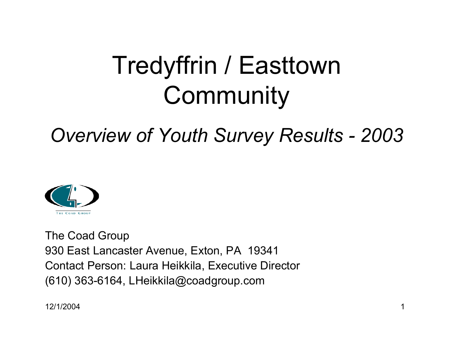## Tredyffrin / Easttown **Community**

### *Overview of Youth Survey Results - 2003*



The Coad Group 930 East Lancaster Avenue, Exton, PA 19341 Contact Person: Laura Heikkila, Executive Director (610) 363-6164, LHeikkila@coadgroup.com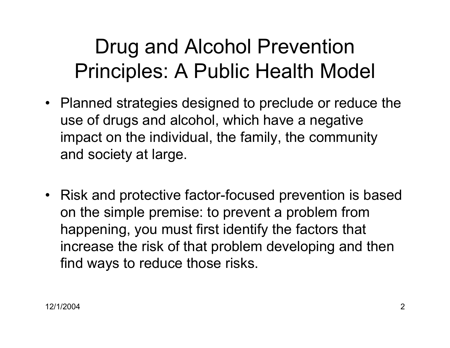## Drug and Alcohol Prevention Principles: A Public Health Model

- Planned strategies designed to preclude or reduce the use of drugs and alcohol, which have a negative impact on the individual, the family, the community and society at large.
- Risk and protective factor-focused prevention is based on the simple premise: to prevent a problem from happening, you must first identify the factors that increase the risk of that problem developing and then find ways to reduce those risks.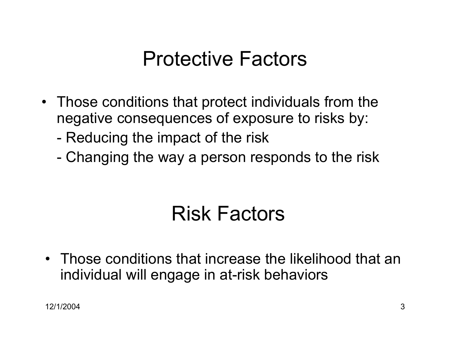## Protective Factors

- Those conditions that protect individuals from the negative consequences of exposure to risks by:
	- -Reducing the impact of the risk
	- -Changing the way a person responds to the risk

## Risk Factors

• Those conditions that increase the likelihood that an individual will engage in at-risk behaviors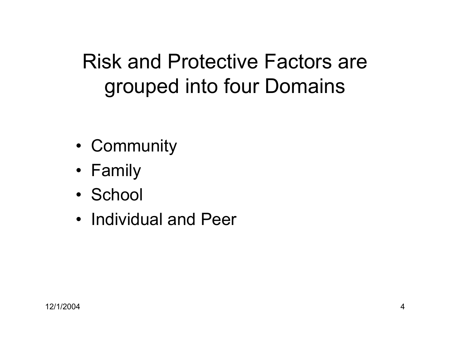## Risk and Protective Factors are grouped into four Domains

- Community
- Family
- School
- Individual and Peer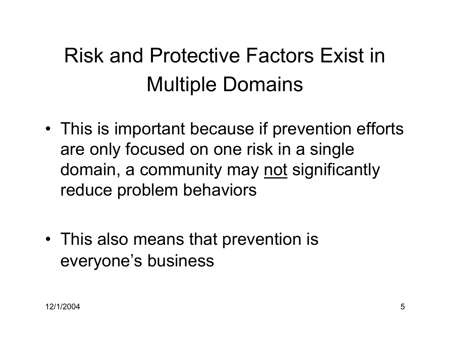## Risk and Protective Factors Exist in Multiple Domains

- This is important because if prevention efforts are only focused on one risk in a single domain, a community may not significantly reduce problem behaviors
- This also means that prevention is everyone's business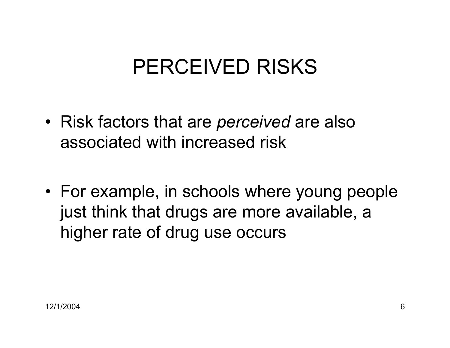## PERCEIVED RISKS

• Risk factors that are *perceived* are also associated with increased risk

• For example, in schools where young people just think that drugs are more available, a higher rate of drug use occurs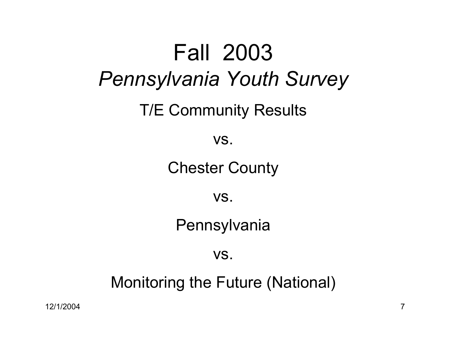# Fall 2003*Pennsylvania Youth Survey* T/E Community Results vs. Chester County vs. **Pennsylvania** vs.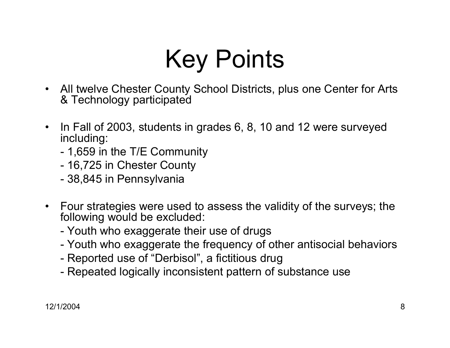# Key Points

- All twelve Chester County School Districts, plus one Center for Arts & Technology participated
- $\bullet$  In Fall of 2003, students in grades 6, 8, 10 and 12 were surveyed including:
	- -1,659 in the T/E Community
	- -16,725 in Chester County
	- -38,845 in Pennsylvania
- Four strategies were used to assess the validity of the surveys; the following would be excluded:
	- -Youth who exaggerate their use of drugs
	- -Youth who exaggerate the frequency of other antisocial behaviors
	- -Reported use of "Derbisol", a fictitious drug
	- -Repeated logically inconsistent pattern of substance use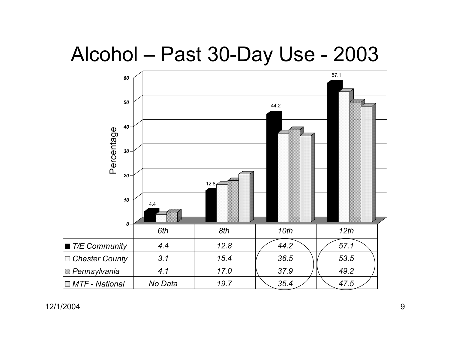## Alcohol – Past 30-Day Use - 2003

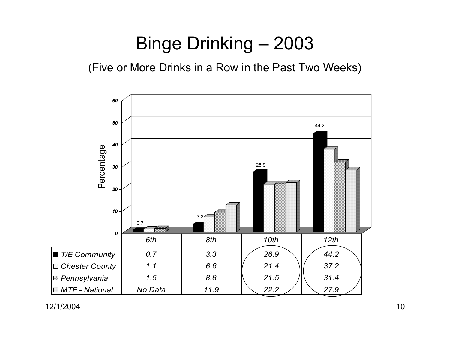## Binge Drinking – 2003

(Five or More Drinks in a Row in the Past Two Weeks)

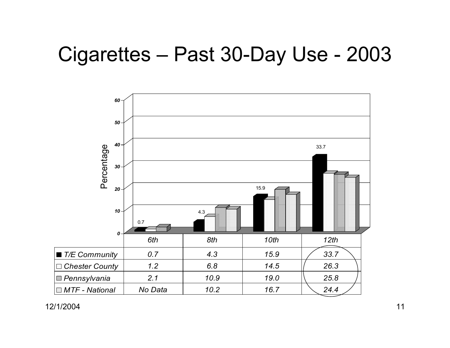## Cigarettes – Past 30-Day Use - 2003

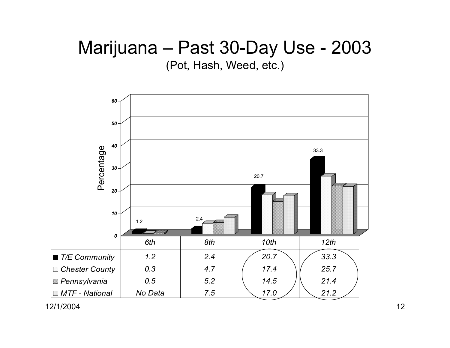#### Marijuana – Past 30-Day Use - 2003 (Pot, Hash, Weed, etc.)

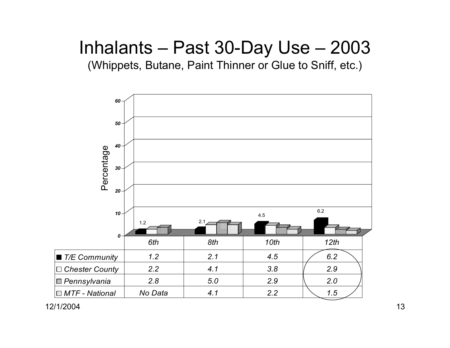### Inhalants – Past 30-Day Use – 2003

(Whippets, Butane, Paint Thinner or Glue to Sniff, etc.)

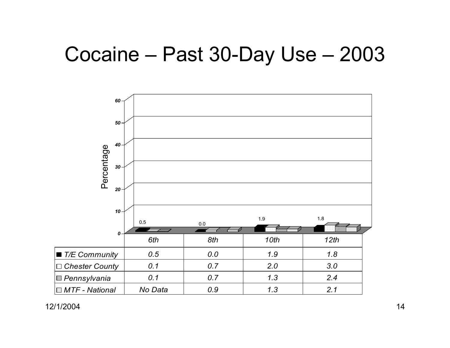## Cocaine – Past 30-Day Use – 2003

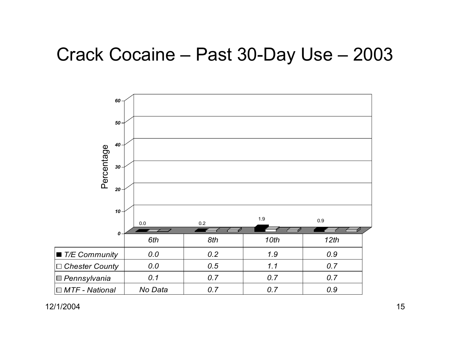#### Crack Cocaine – Past 30-Day Use – 2003

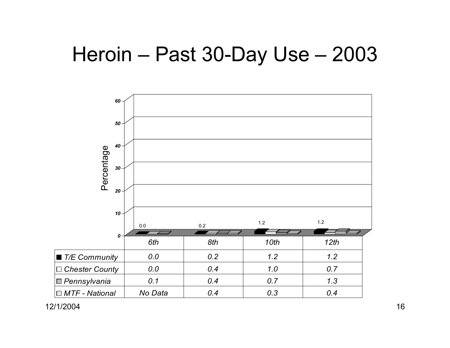## Heroin – Past 30-Day Use – 2003

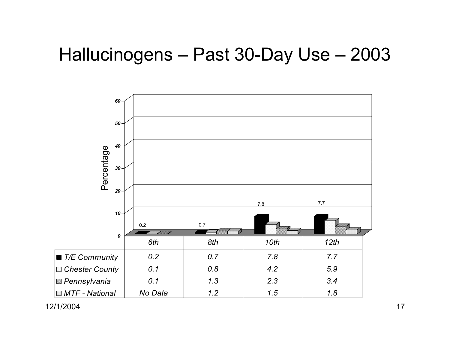#### Hallucinogens – Past 30-Day Use – 2003

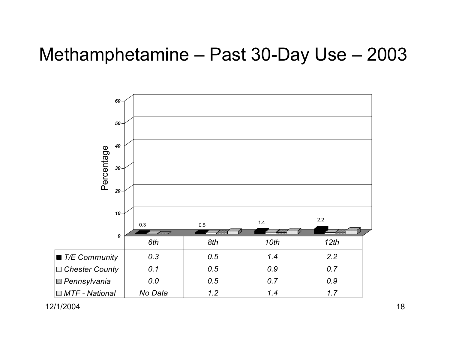#### Methamphetamine – Past 30-Day Use – 2003

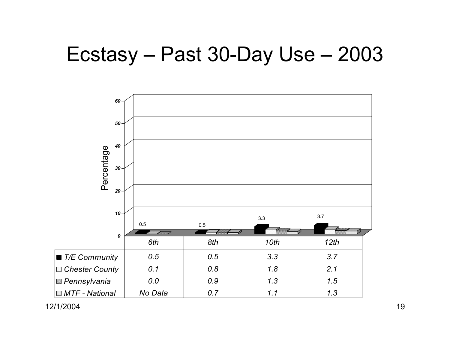## Ecstasy – Past 30-Day Use – 2003

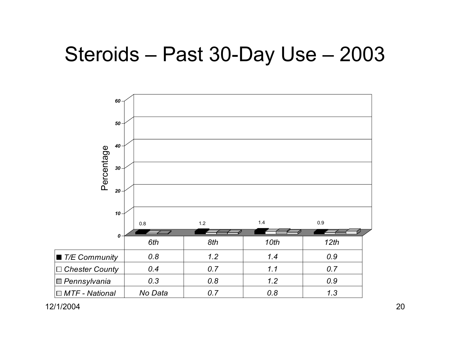## Steroids – Past 30-Day Use – 2003

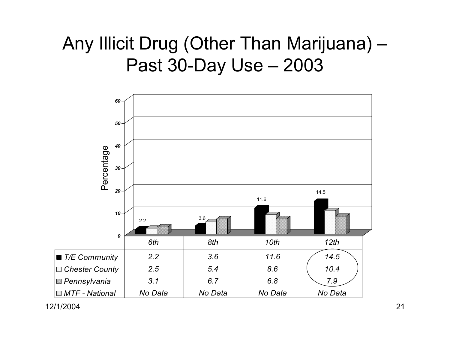### Any Illicit Drug (Other Than Marijuana) – Past 30-Day Use – 2003

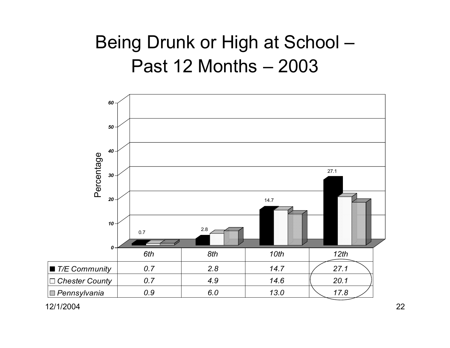## Being Drunk or High at School – Past 12 Months – 2003

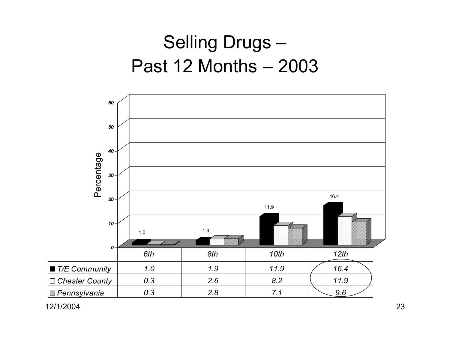## Selling Drugs – Past 12 Months – 2003

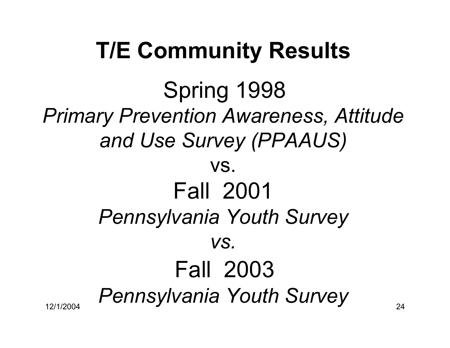## **T/E Community Results**

12/1/2004<sub>4</sub> Pennsylvania Youth Survey 24 Spring 1998 *Primary Prevention Awareness, Attitude and Use Survey (PPAAUS)* vs. Fall 2001 *Pennsylvania Youth Survey vs.* Fall 2003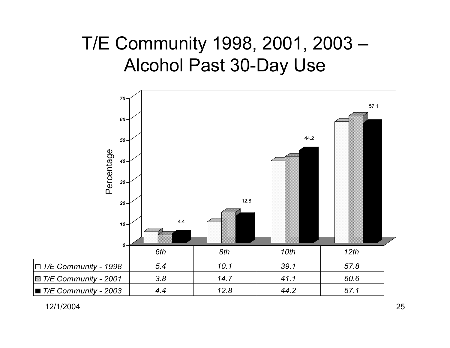### T/E Community 1998, 2001, 2003 – Alcohol Past 30-Day Use

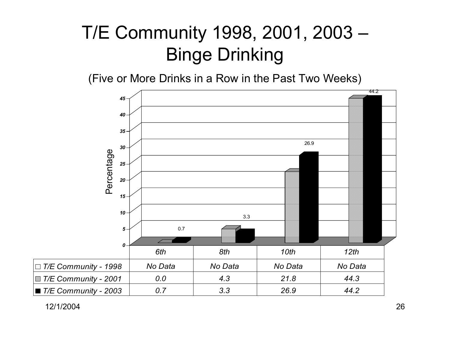## T/E Community 1998, 2001, 2003 – Binge Drinking

(Five or More Drinks in a Row in the Past Two Weeks)

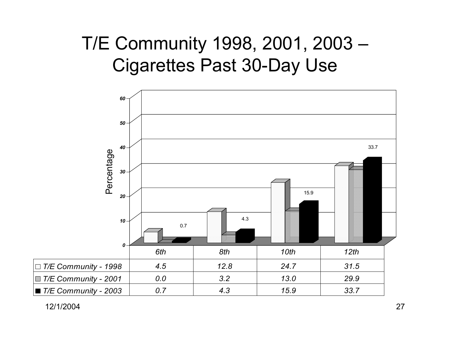### T/E Community 1998, 2001, 2003 – Cigarettes Past 30-Day Use

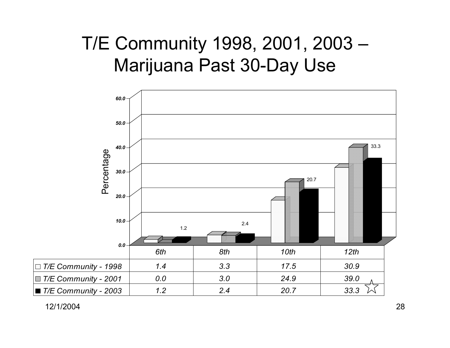### T/E Community 1998, 2001, 2003 – Marijuana Past 30-Day Use

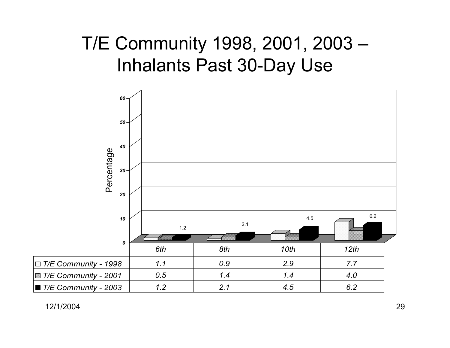### T/E Community 1998, 2001, 2003 – Inhalants Past 30-Day Use

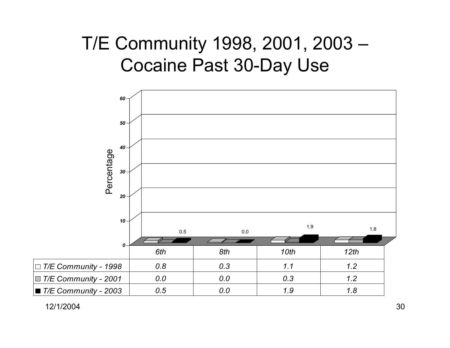### T/E Community 1998, 2001, 2003 – Cocaine Past 30-Day Use

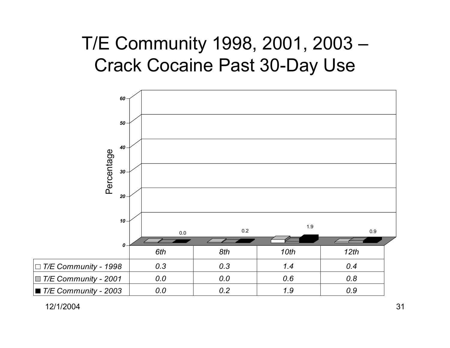### T/E Community 1998, 2001, 2003 – Crack Cocaine Past 30-Day Use

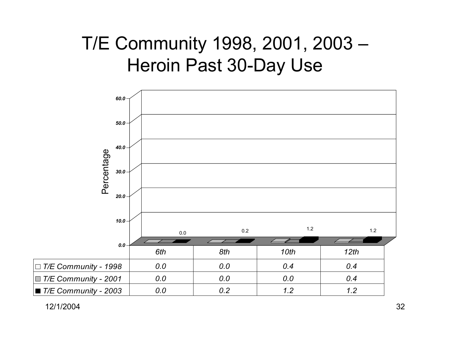### T/E Community 1998, 2001, 2003 – Heroin Past 30-Day Use

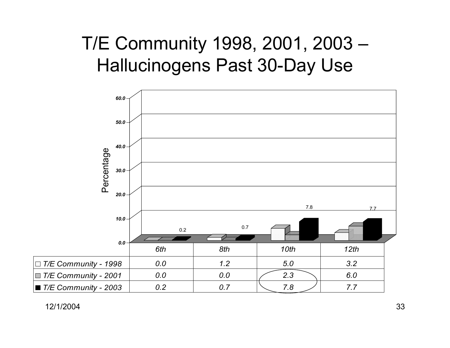### T/E Community 1998, 2001, 2003 – Hallucinogens Past 30-Day Use

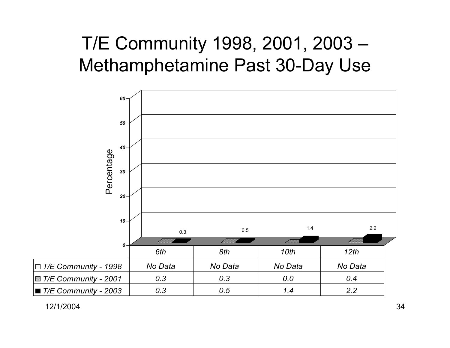### T/E Community 1998, 2001, 2003 – Methamphetamine Past 30-Day Use

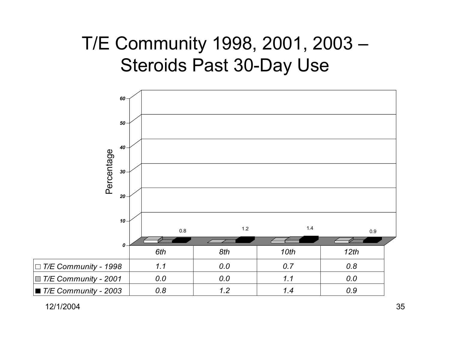### T/E Community 1998, 2001, 2003 – Steroids Past 30-Day Use

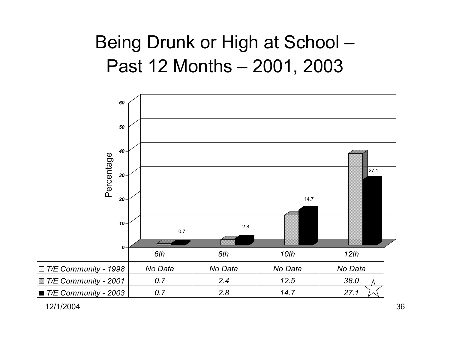### Being Drunk or High at School – Past 12 Months – 2001, 2003

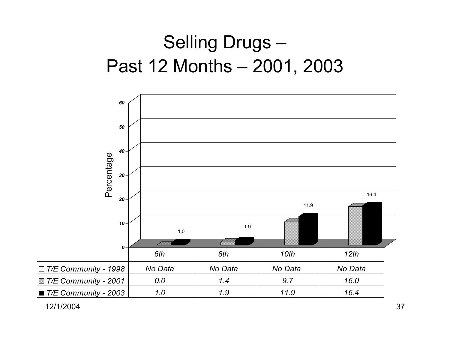## Selling Drugs – Past 12 Months – 2001, 2003

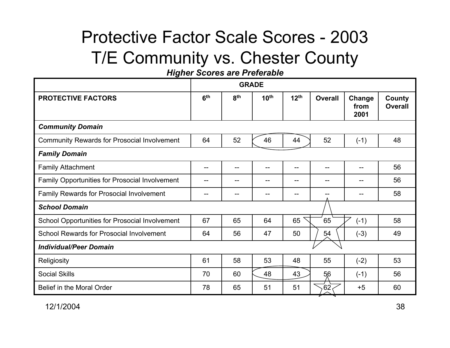#### Protective Factor Scale Scores - 2003T/E Community vs. Chester County

*Higher Scores are Preferable* 

|                                                       | <b>GRADE</b>    |                 |                  |                  |                |                        |                          |  |
|-------------------------------------------------------|-----------------|-----------------|------------------|------------------|----------------|------------------------|--------------------------|--|
| <b>PROTECTIVE FACTORS</b>                             | 6 <sup>th</sup> | 8 <sup>th</sup> | 10 <sup>th</sup> | 12 <sup>th</sup> | <b>Overall</b> | Change<br>from<br>2001 | County<br><b>Overall</b> |  |
| <b>Community Domain</b>                               |                 |                 |                  |                  |                |                        |                          |  |
| <b>Community Rewards for Prosocial Involvement</b>    | 64              | 52              | 46               | 44               | 52             | $(-1)$                 | 48                       |  |
| <b>Family Domain</b>                                  |                 |                 |                  |                  |                |                        |                          |  |
| <b>Family Attachment</b>                              | --              | --              | $-$              | $--$             | $- -$          |                        | 56                       |  |
| <b>Family Opportunities for Prosocial Involvement</b> |                 |                 |                  |                  |                |                        | 56                       |  |
| Family Rewards for Prosocial Involvement              |                 |                 |                  | --               |                |                        | 58                       |  |
| <b>School Domain</b>                                  |                 |                 |                  |                  |                |                        |                          |  |
| School Opportunities for Prosocial Involvement        | 67              | 65              | 64               | 65               | 65             | $(-1)$                 | 58                       |  |
| <b>School Rewards for Prosocial Involvement</b>       | 64              | 56              | 47               | 50               | 54             | $(-3)$                 | 49                       |  |
| <b>Individual/Peer Domain</b>                         |                 |                 |                  |                  |                |                        |                          |  |
| Religiosity                                           | 61              | 58              | 53               | 48               | 55             | $(-2)$                 | 53                       |  |
| <b>Social Skills</b>                                  | 70              | 60              | 48               | 43               | 56             | $(-1)$                 | 56                       |  |
| Belief in the Moral Order                             | 78              | 65              | 51               | 51               | 62             | $+5$                   | 60                       |  |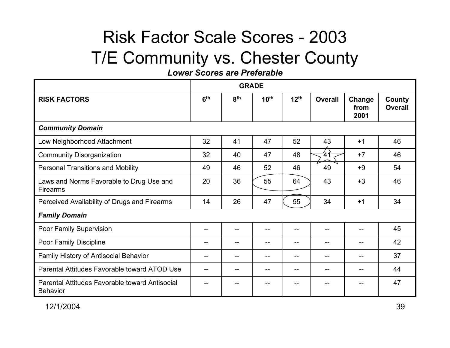#### Risk Factor Scale Scores - 2003T/E Community vs. Chester County

*Lower Scores are Preferable*

|                                                                   | <b>GRADE</b>    |                 |                  |                   |                |                        |                          |  |
|-------------------------------------------------------------------|-----------------|-----------------|------------------|-------------------|----------------|------------------------|--------------------------|--|
| <b>RISK FACTORS</b>                                               | 6 <sup>th</sup> | 8 <sup>th</sup> | 10 <sup>th</sup> | 12 <sup>th</sup>  | <b>Overall</b> | Change<br>from<br>2001 | County<br><b>Overall</b> |  |
| <b>Community Domain</b>                                           |                 |                 |                  |                   |                |                        |                          |  |
| Low Neighborhood Attachment                                       | 32              | 41              | 47               | 52                | 43             | $+1$                   | 46                       |  |
| <b>Community Disorganization</b>                                  | 32              | 40              | 47               | 48                | 41             | $+7$                   | 46                       |  |
| <b>Personal Transitions and Mobility</b>                          | 49              | 46              | 52               | 46                | 49             | $+9$                   | 54                       |  |
| Laws and Norms Favorable to Drug Use and<br><b>Firearms</b>       | 20              | 36              | 55               | 64                | 43             | $+3$                   | 46                       |  |
| Perceived Availability of Drugs and Firearms                      | 14              | 26              | 47               | 55                | 34             | $+1$                   | 34                       |  |
| <b>Family Domain</b>                                              |                 |                 |                  |                   |                |                        |                          |  |
| Poor Family Supervision                                           |                 |                 |                  |                   |                |                        | 45                       |  |
| Poor Family Discipline                                            |                 |                 |                  |                   |                |                        | 42                       |  |
| Family History of Antisocial Behavior                             |                 |                 |                  | $\qquad \qquad -$ | $-$            | --                     | 37                       |  |
| Parental Attitudes Favorable toward ATOD Use                      |                 |                 |                  |                   |                |                        | 44                       |  |
| Parental Attitudes Favorable toward Antisocial<br><b>Behavior</b> |                 |                 |                  |                   |                |                        | 47                       |  |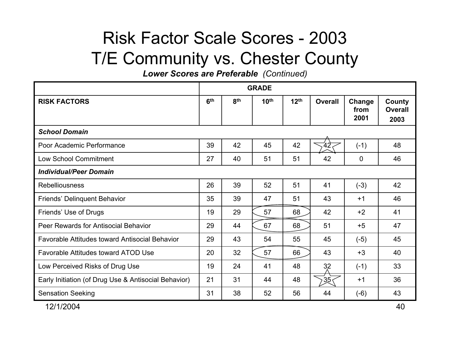#### Risk Factor Scale Scores - 2003 T/E Community vs. Chester County

*Lower Scores are Preferable (Continued)* 

|                                                      | <b>GRADE</b>    |                 |                  |                  |                 |                        |                                  |  |
|------------------------------------------------------|-----------------|-----------------|------------------|------------------|-----------------|------------------------|----------------------------------|--|
| <b>RISK FACTORS</b>                                  | 6 <sup>th</sup> | 8 <sup>th</sup> | 10 <sup>th</sup> | 12 <sup>th</sup> | <b>Overall</b>  | Change<br>from<br>2001 | County<br><b>Overall</b><br>2003 |  |
| <b>School Domain</b>                                 |                 |                 |                  |                  |                 |                        |                                  |  |
| Poor Academic Performance                            | 39              | 42              | 45               | 42               | -42             | $(-1)$                 | 48                               |  |
| Low School Commitment                                | 27              | 40              | 51               | 51               | 42              | $\mathbf 0$            | 46                               |  |
| <b>Individual/Peer Domain</b>                        |                 |                 |                  |                  |                 |                        |                                  |  |
| <b>Rebelliousness</b>                                | 26              | 39              | 52               | 51               | 41              | $(-3)$                 | 42                               |  |
| Friends' Delinquent Behavior                         | 35              | 39              | 47               | 51               | 43              | $+1$                   | 46                               |  |
| Friends' Use of Drugs                                | 19              | 29              | 57               | 68               | 42              | $+2$                   | 41                               |  |
| Peer Rewards for Antisocial Behavior                 | 29              | 44              | 67               | 68               | 51              | $+5$                   | 47                               |  |
| Favorable Attitudes toward Antisocial Behavior       | 29              | 43              | 54               | 55               | 45              | $(-5)$                 | 45                               |  |
| <b>Favorable Attitudes toward ATOD Use</b>           | 20              | 32              | 57               | 66               | 43              | $+3$                   | 40                               |  |
| Low Perceived Risks of Drug Use                      | 19              | 24              | 41               | 48               | 32              | $(-1)$                 | 33                               |  |
| Early Initiation (of Drug Use & Antisocial Behavior) | 21              | 31              | 44               | 48               | 35 <sub>1</sub> | $+1$                   | 36                               |  |
| <b>Sensation Seeking</b>                             | 31              | 38              | 52               | 56               | 44              | $(-6)$                 | 43                               |  |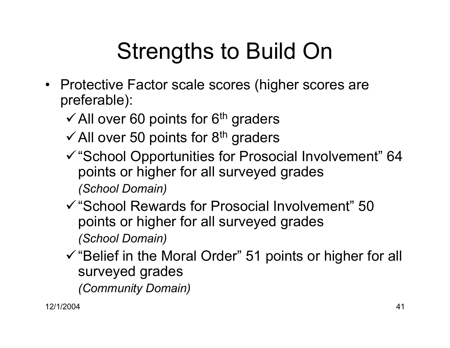## Strengths to Build On

- Protective Factor scale scores (higher scores are preferable):
	- $\checkmark$  All over 60 points for 6<sup>th</sup> graders
	- $\checkmark$  All over 50 points for 8<sup>th</sup> graders
	- $\checkmark$  "School Opportunities for Prosocial Involvement" 64 points or higher for all surveyed grades *(School Domain)*
	- 9"School Rewards for Prosocial Involvement" 50 points or higher for all surveyed grades *(School Domain)*
	- $\checkmark$  "Belief in the Moral Order" 51 points or higher for all surveyed grades *(Community Domain)*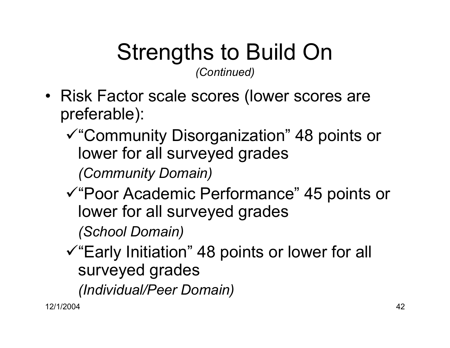# Strengths to Build On

*(Continued)*

- Risk Factor scale scores (lower scores are preferable):
	- <sup>9</sup>"Community Disorganization" 48 points or lower for all surveyed grades *(Community Domain)*
	- <sup>9</sup>"Poor Academic Performance" 45 points or lower for all surveyed grades

*(School Domain)*

 $\checkmark$  "Early Initiation" 48 points or lower for all surveyed grades

*(Individual/Peer Domain)*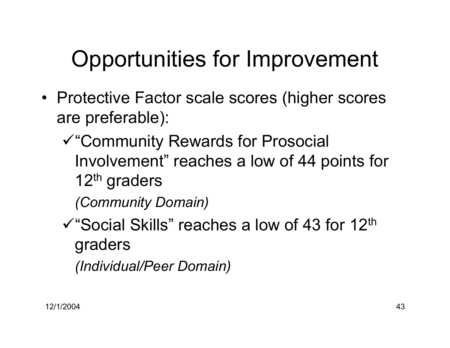## Opportunities for Improvement

- Protective Factor scale scores (higher scores are preferable):
	- <sup>9</sup>"Community Rewards for Prosocial Involvement" reaches a low of 44 points for 12<sup>th</sup> graders

*(Community Domain)*

 $\checkmark$  "Social Skills" reaches a low of 43 for 12<sup>th</sup> graders *(Individual/Peer Domain)*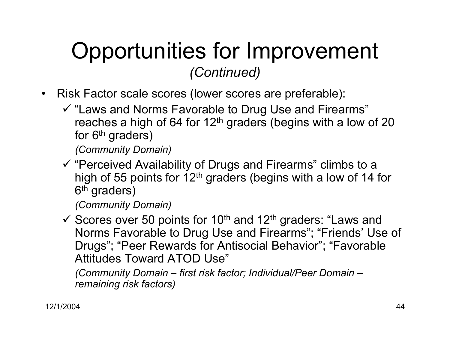## Opportunities for Improvement *(Continued)*

- $\bullet$  Risk Factor scale scores (lower scores are preferable):
	- $\checkmark$  "Laws and Norms Favorable to Drug Use and Firearms" reaches a high of 64 for  $12<sup>th</sup>$  graders (begins with a low of 20 for  $6<sup>th</sup>$  graders)

*(Community Domain)*

 $\checkmark$  "Perceived Availability of Drugs and Firearms" climbs to a high of 55 points for  $12<sup>th</sup>$  graders (begins with a low of 14 for 6<sup>th</sup> graders)

*(Community Domain)*

 $\checkmark$  Scores over 50 points for 10<sup>th</sup> and 12<sup>th</sup> graders: "Laws and Norms Favorable to Drug Use and Firearms"; "Friends' Use of Drugs"; "Peer Rewards for Antisocial Behavior"; "Favorable Attitudes Toward ATOD Use"

*(Community Domain – first risk factor; Individual/Peer Domain – remaining risk factors)*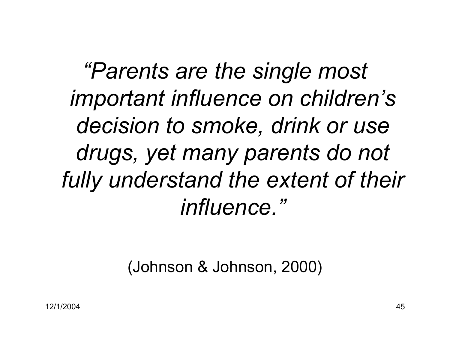*"Parents are the single most important influence on children's decision to smoke, drink or use drugs, yet many parents do not fully understand the extent of their influence."* 

#### (Johnson & Johnson, 2000)